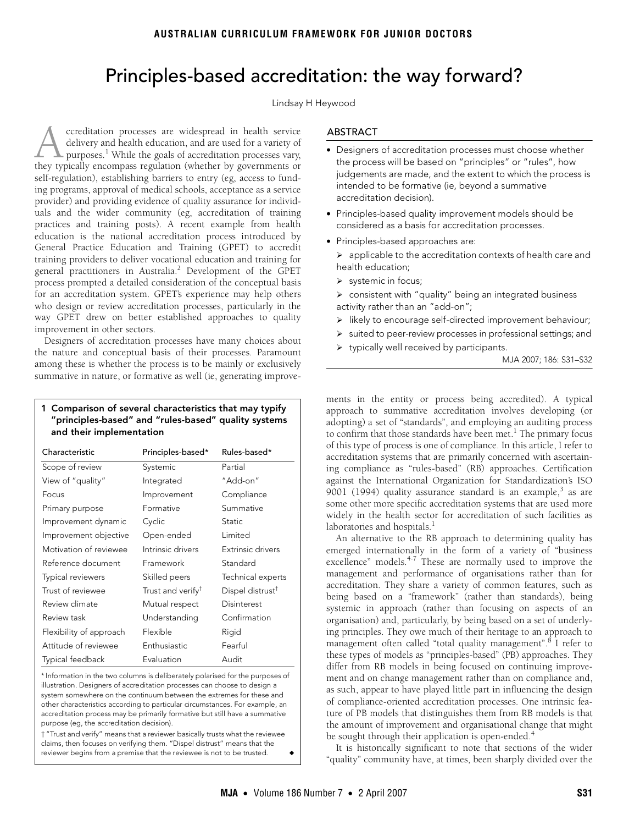# Principles-based accreditation: the way forward?

### Lindsay H Heywood

<span id="page-0-0"></span>education is the national accreditation process introduced by General Practice Education [an](#page-0-0)[d](#page-1-6) Training (GPET) to accredit training providers to deliver vocational education and training for general practitioners in Australia.<sup>[2](#page-1-1)</sup> Development of the GPET process prompted a detailed consideration of the conceptual basis ccreditation processes are widespread in health service delivery and health education, and are used for a variety of purposes.<sup>[1](#page-1-0)</sup> While the goals of accreditation processes vary, ccreditation processes are widespread in health service<br>delivery and health education, and are used for a variety of<br>purposes.<sup>1</sup> While the goals of accreditation processes vary,<br>they typically encompass regulation (whethe self-regulation), establishing barriers to entry (eg, access to funding programs, approval of medical schools, acceptance as a service provider) and providing evidence of quality assurance for individuals and the wider community (eg, accreditation of training practices and training posts). A recent example from health for an accreditation system. GPET's experience may help others who design or review accreditation processes, particularly in the way GPET drew on better established approaches to quality improvement in other sectors.

Designers of accreditation processes have many choices about the nature and conceptual basis of their processes. Paramount among these is whether the process is to be mainly or exclusively summative in nature, or formative as well (ie, generating improve-

# 1 Comparison of several characteristics that may typify "principles-based" and "rules-based" quality systems and their implementation

| Characteristic          | Principles-based*             | Rules-based*                 |
|-------------------------|-------------------------------|------------------------------|
| Scope of review         | Systemic                      | Partial                      |
| View of "quality"       | Integrated                    | "Add-on"                     |
| Focus                   | Improvement                   | Compliance                   |
| Primary purpose         | Formative                     | Summative                    |
| Improvement dynamic     | Cyclic                        | Static                       |
| Improvement objective   | Open-ended                    | Limited                      |
| Motivation of reviewee  | Intrinsic drivers             | Extrinsic drivers            |
| Reference document      | Framework                     | Standard                     |
| Typical reviewers       | Skilled peers                 | Technical experts            |
| Trust of reviewee       | Trust and verify <sup>t</sup> | Dispel distrust <sup>†</sup> |
| Review climate          | Mutual respect                | Disinterest                  |
| Review task             | Understanding                 | Confirmation                 |
| Flexibility of approach | Flexible                      | Rigid                        |
| Attitude of reviewee    | Enthusiastic                  | Fearful                      |
| Typical feedback        | Evaluation                    | Audit                        |

\* Information in the two columns is deliberately polarised for the purposes of illustration. Designers of accreditation processes can choose to design a system somewhere on the continuum between the extremes for these and other characteristics according to particular circumstances. For example, an accreditation process may be primarily formative but still have a summative purpose (eg, the accreditation decision).

† "Trust and verify" means that a reviewer basically trusts what the reviewee claims, then focuses on verifying them. "Dispel distrust" means that the reviewer begins from a premise that the reviewee is not to be trusted.

# ABSTRACT

- Designers of accreditation processes must choose whether the process will be based on "principles" or "rules", how judgements are made, and the extent to which the process is intended to be formative (ie, beyond a summative accreditation decision).
- Principles-based quality improvement models should be considered as a basis for accreditation processes.
- Principles-based approaches are:

 $\triangleright$  applicable to the accreditation contexts of health care and health education;

- $\triangleright$  systemic in focus;
- $\triangleright$  consistent with "quality" being an integrated business activity rather than an "add-on";
- ¾ likely to encourage self-directed improvement behaviour;
- ¾ suited to peer-review processes in professional settings; and
- $\triangleright$  typically well received by participants.

MJA 2007; 186: S31–S32

ments in the entity or process being accredited). A typical approach to summative accreditation involves developing (or adopting) a set of "standards", and employing an auditing process to confirm that those standards have been met.<sup>1</sup> The primary focus of this type of process is one of compliance. In this article, I refer to accreditation systems that are primarily concerned with ascertaining compliance as "rules-based" (RB) approaches. Certification against the International Organization for Standardization's ISO 9001 (1994) quality assurance standard is an example, $3$  as are some other more specific accreditation systems that are used more widely in the health sector for accreditation of such facilities as laboratories and hospitals.<sup>1</sup>

An alternative to the RB approach to determining quality has emerged internationally in the form of a variety of "business excellence" models.<sup>[4-](#page-1-3)[7](#page-1-4)</sup> These are normally used to improve the management and performance of organisations rather than for accreditation. They share a variety of common features, such as being based on a "framework" (rather than standards), being systemic in approach (rather than focusing on aspects of an organisation) and, particularly, by being based on a set of underlying principles. They owe much of their heritage to an approach to management often called "total quality management".<sup>[8](#page-1-5)</sup> I refer to these types of models as "principles-based" (PB) approaches. They differ from RB models in being focused on continuing improvement and on change management rather than on compliance and, as such, appear to have played little part in influencing the design of compliance-oriented accreditation processes. One intrinsic feature of PB models that distinguishes them from RB models is that the amount of improvement and organisational change that might be sought through their application is open-ended.<sup>[4](#page-1-3)</sup>

It is historically significant to note that sections of the wider "quality" community have, at times, been sharply divided over the